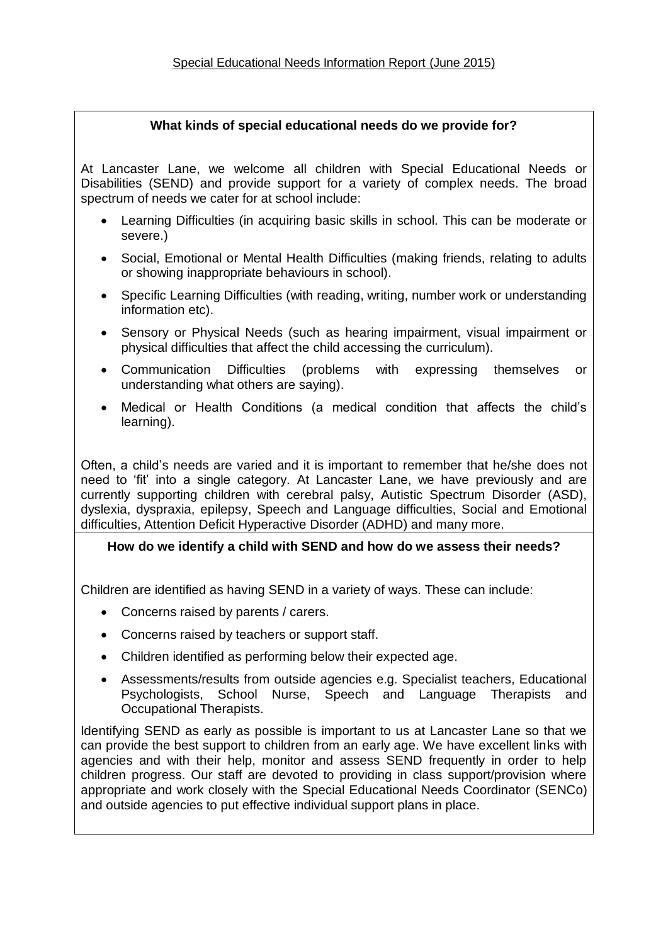## **What kinds of special educational needs do we provide for?**

At Lancaster Lane, we welcome all children with Special Educational Needs or Disabilities (SEND) and provide support for a variety of complex needs. The broad spectrum of needs we cater for at school include:

- Learning Difficulties (in acquiring basic skills in school. This can be moderate or severe.)
- Social, Emotional or Mental Health Difficulties (making friends, relating to adults or showing inappropriate behaviours in school).
- Specific Learning Difficulties (with reading, writing, number work or understanding information etc).
- Sensory or Physical Needs (such as hearing impairment, visual impairment or physical difficulties that affect the child accessing the curriculum).
- Communication Difficulties (problems with expressing themselves or understanding what others are saying).
- Medical or Health Conditions (a medical condition that affects the child's learning).

Often, a child's needs are varied and it is important to remember that he/she does not need to 'fit' into a single category. At Lancaster Lane, we have previously and are currently supporting children with cerebral palsy, Autistic Spectrum Disorder (ASD), dyslexia, dyspraxia, epilepsy, Speech and Language difficulties, Social and Emotional difficulties, Attention Deficit Hyperactive Disorder (ADHD) and many more.

## **How do we identify a child with SEND and how do we assess their needs?**

Children are identified as having SEND in a variety of ways. These can include:

- Concerns raised by parents / carers.
- Concerns raised by teachers or support staff.
- Children identified as performing below their expected age.
- Assessments/results from outside agencies e.g. Specialist teachers, Educational Psychologists, School Nurse, Speech and Language Therapists and Occupational Therapists.

Identifying SEND as early as possible is important to us at Lancaster Lane so that we can provide the best support to children from an early age. We have excellent links with agencies and with their help, monitor and assess SEND frequently in order to help children progress. Our staff are devoted to providing in class support/provision where appropriate and work closely with the Special Educational Needs Coordinator (SENCo) and outside agencies to put effective individual support plans in place.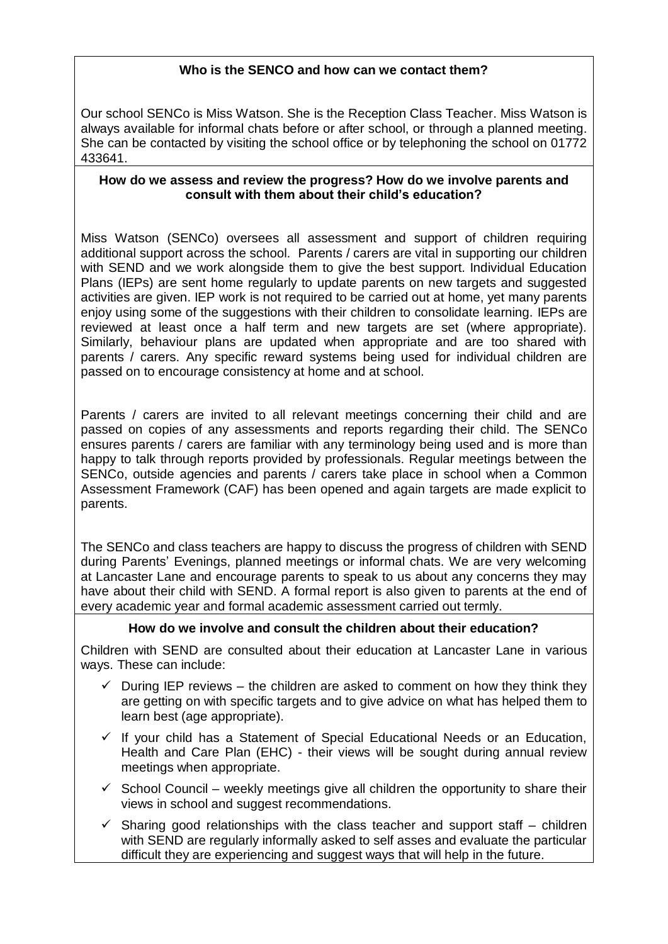## **Who is the SENCO and how can we contact them?**

Our school SENCo is Miss Watson. She is the Reception Class Teacher. Miss Watson is always available for informal chats before or after school, or through a planned meeting. She can be contacted by visiting the school office or by telephoning the school on 01772 433641.

#### **How do we assess and review the progress? How do we involve parents and consult with them about their child's education?**

Miss Watson (SENCo) oversees all assessment and support of children requiring additional support across the school. Parents / carers are vital in supporting our children with SEND and we work alongside them to give the best support. Individual Education Plans (IEPs) are sent home regularly to update parents on new targets and suggested activities are given. IEP work is not required to be carried out at home, yet many parents enjoy using some of the suggestions with their children to consolidate learning. IEPs are reviewed at least once a half term and new targets are set (where appropriate). Similarly, behaviour plans are updated when appropriate and are too shared with parents / carers. Any specific reward systems being used for individual children are passed on to encourage consistency at home and at school.

Parents / carers are invited to all relevant meetings concerning their child and are passed on copies of any assessments and reports regarding their child. The SENCo ensures parents / carers are familiar with any terminology being used and is more than happy to talk through reports provided by professionals. Regular meetings between the SENCo, outside agencies and parents / carers take place in school when a Common Assessment Framework (CAF) has been opened and again targets are made explicit to parents.

The SENCo and class teachers are happy to discuss the progress of children with SEND during Parents' Evenings, planned meetings or informal chats. We are very welcoming at Lancaster Lane and encourage parents to speak to us about any concerns they may have about their child with SEND. A formal report is also given to parents at the end of every academic year and formal academic assessment carried out termly.

## **How do we involve and consult the children about their education?**

Children with SEND are consulted about their education at Lancaster Lane in various ways. These can include:

- $\checkmark$  During IEP reviews the children are asked to comment on how they think they are getting on with specific targets and to give advice on what has helped them to learn best (age appropriate).
- $\checkmark$  If your child has a Statement of Special Educational Needs or an Education, Health and Care Plan (EHC) - their views will be sought during annual review meetings when appropriate.
- $\checkmark$  School Council weekly meetings give all children the opportunity to share their views in school and suggest recommendations.
- $\checkmark$  Sharing good relationships with the class teacher and support staff children with SEND are regularly informally asked to self asses and evaluate the particular difficult they are experiencing and suggest ways that will help in the future.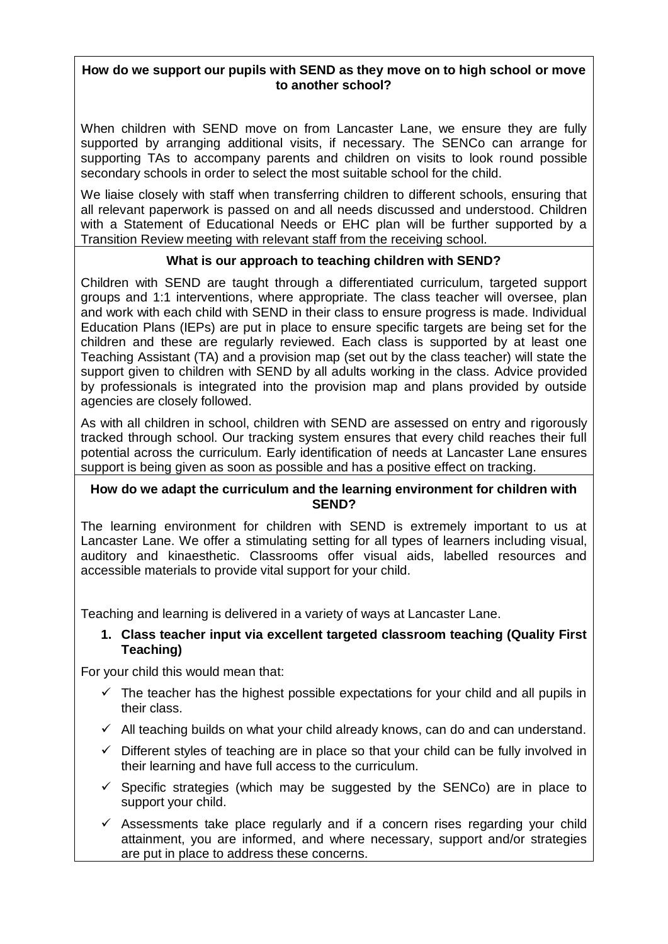### **How do we support our pupils with SEND as they move on to high school or move to another school?**

When children with SEND move on from Lancaster Lane, we ensure they are fully supported by arranging additional visits, if necessary. The SENCo can arrange for supporting TAs to accompany parents and children on visits to look round possible secondary schools in order to select the most suitable school for the child.

We liaise closely with staff when transferring children to different schools, ensuring that all relevant paperwork is passed on and all needs discussed and understood. Children with a Statement of Educational Needs or EHC plan will be further supported by a Transition Review meeting with relevant staff from the receiving school.

## **What is our approach to teaching children with SEND?**

Children with SEND are taught through a differentiated curriculum, targeted support groups and 1:1 interventions, where appropriate. The class teacher will oversee, plan and work with each child with SEND in their class to ensure progress is made. Individual Education Plans (IEPs) are put in place to ensure specific targets are being set for the children and these are regularly reviewed. Each class is supported by at least one Teaching Assistant (TA) and a provision map (set out by the class teacher) will state the support given to children with SEND by all adults working in the class. Advice provided by professionals is integrated into the provision map and plans provided by outside agencies are closely followed.

As with all children in school, children with SEND are assessed on entry and rigorously tracked through school. Our tracking system ensures that every child reaches their full potential across the curriculum. Early identification of needs at Lancaster Lane ensures support is being given as soon as possible and has a positive effect on tracking.

#### **How do we adapt the curriculum and the learning environment for children with SEND?**

The learning environment for children with SEND is extremely important to us at Lancaster Lane. We offer a stimulating setting for all types of learners including visual, auditory and kinaesthetic. Classrooms offer visual aids, labelled resources and accessible materials to provide vital support for your child.

Teaching and learning is delivered in a variety of ways at Lancaster Lane.

## **1. Class teacher input via excellent targeted classroom teaching (Quality First Teaching)**

For your child this would mean that:

- $\checkmark$  The teacher has the highest possible expectations for your child and all pupils in their class.
- $\checkmark$  All teaching builds on what your child already knows, can do and can understand.
- $\checkmark$  Different styles of teaching are in place so that your child can be fully involved in their learning and have full access to the curriculum.
- $\checkmark$  Specific strategies (which may be suggested by the SENCo) are in place to support your child.
- $\checkmark$  Assessments take place regularly and if a concern rises regarding your child attainment, you are informed, and where necessary, support and/or strategies are put in place to address these concerns.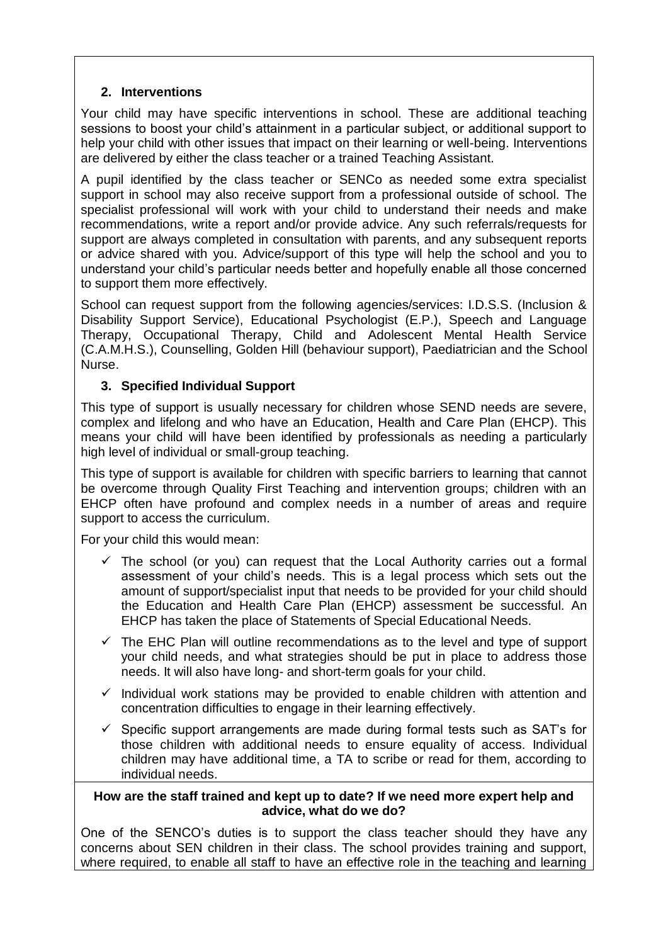## **2. Interventions**

Your child may have specific interventions in school. These are additional teaching sessions to boost your child's attainment in a particular subject, or additional support to help your child with other issues that impact on their learning or well-being. Interventions are delivered by either the class teacher or a trained Teaching Assistant.

A pupil identified by the class teacher or SENCo as needed some extra specialist support in school may also receive support from a professional outside of school. The specialist professional will work with your child to understand their needs and make recommendations, write a report and/or provide advice. Any such referrals/requests for support are always completed in consultation with parents, and any subsequent reports or advice shared with you. Advice/support of this type will help the school and you to understand your child's particular needs better and hopefully enable all those concerned to support them more effectively.

School can request support from the following agencies/services: I.D.S.S. (Inclusion & Disability Support Service), Educational Psychologist (E.P.), Speech and Language Therapy, Occupational Therapy, Child and Adolescent Mental Health Service (C.A.M.H.S.), Counselling, Golden Hill (behaviour support), Paediatrician and the School Nurse.

## **3. Specified Individual Support**

This type of support is usually necessary for children whose SEND needs are severe, complex and lifelong and who have an Education, Health and Care Plan (EHCP). This means your child will have been identified by professionals as needing a particularly high level of individual or small-group teaching.

This type of support is available for children with specific barriers to learning that cannot be overcome through Quality First Teaching and intervention groups; children with an EHCP often have profound and complex needs in a number of areas and require support to access the curriculum.

For your child this would mean:

- $\checkmark$  The school (or you) can request that the Local Authority carries out a formal assessment of your child's needs. This is a legal process which sets out the amount of support/specialist input that needs to be provided for your child should the Education and Health Care Plan (EHCP) assessment be successful. An EHCP has taken the place of Statements of Special Educational Needs.
- $\checkmark$  The EHC Plan will outline recommendations as to the level and type of support your child needs, and what strategies should be put in place to address those needs. It will also have long- and short-term goals for your child.
- $\checkmark$  Individual work stations may be provided to enable children with attention and concentration difficulties to engage in their learning effectively.
- $\checkmark$  Specific support arrangements are made during formal tests such as SAT's for those children with additional needs to ensure equality of access. Individual children may have additional time, a TA to scribe or read for them, according to individual needs.

#### **How are the staff trained and kept up to date? If we need more expert help and advice, what do we do?**

One of the SENCO's duties is to support the class teacher should they have any concerns about SEN children in their class. The school provides training and support, where required, to enable all staff to have an effective role in the teaching and learning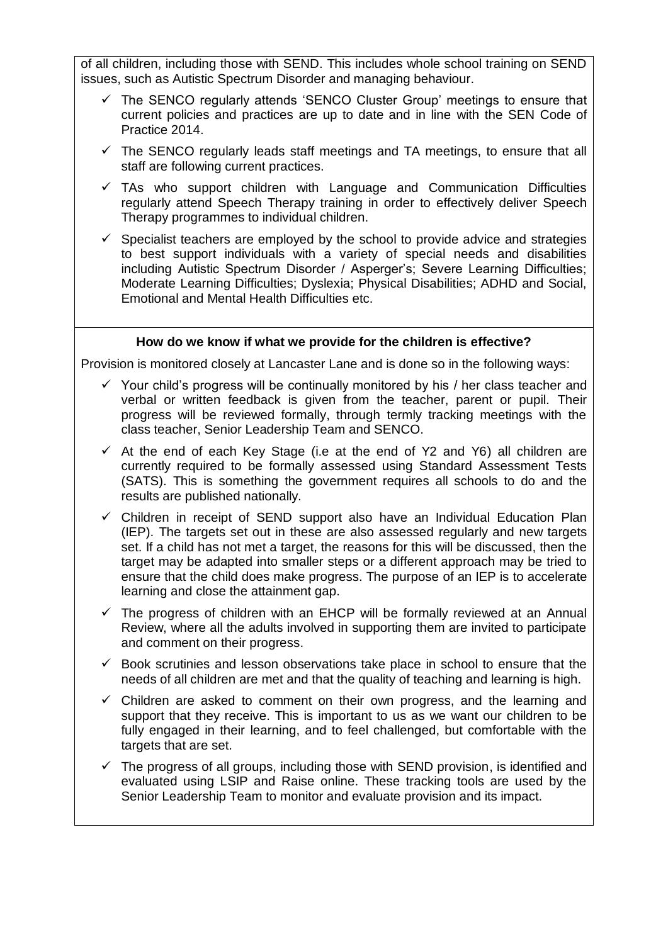of all children, including those with SEND. This includes whole school training on SEND issues, such as Autistic Spectrum Disorder and managing behaviour.

- $\checkmark$  The SENCO regularly attends 'SENCO Cluster Group' meetings to ensure that current policies and practices are up to date and in line with the SEN Code of Practice 2014.
- $\checkmark$  The SENCO regularly leads staff meetings and TA meetings, to ensure that all staff are following current practices.
- $\checkmark$  TAs who support children with Language and Communication Difficulties regularly attend Speech Therapy training in order to effectively deliver Speech Therapy programmes to individual children.
- $\checkmark$  Specialist teachers are employed by the school to provide advice and strategies to best support individuals with a variety of special needs and disabilities including Autistic Spectrum Disorder / Asperger's; Severe Learning Difficulties; Moderate Learning Difficulties; Dyslexia; Physical Disabilities; ADHD and Social, Emotional and Mental Health Difficulties etc.

## **How do we know if what we provide for the children is effective?**

Provision is monitored closely at Lancaster Lane and is done so in the following ways:

- $\checkmark$  Your child's progress will be continually monitored by his / her class teacher and verbal or written feedback is given from the teacher, parent or pupil. Their progress will be reviewed formally, through termly tracking meetings with the class teacher, Senior Leadership Team and SENCO.
- $\checkmark$  At the end of each Key Stage (i.e at the end of Y2 and Y6) all children are currently required to be formally assessed using Standard Assessment Tests (SATS). This is something the government requires all schools to do and the results are published nationally.
- $\checkmark$  Children in receipt of SEND support also have an Individual Education Plan (IEP). The targets set out in these are also assessed regularly and new targets set. If a child has not met a target, the reasons for this will be discussed, then the target may be adapted into smaller steps or a different approach may be tried to ensure that the child does make progress. The purpose of an IEP is to accelerate learning and close the attainment gap.
- $\checkmark$  The progress of children with an EHCP will be formally reviewed at an Annual Review, where all the adults involved in supporting them are invited to participate and comment on their progress.
- $\checkmark$  Book scrutinies and lesson observations take place in school to ensure that the needs of all children are met and that the quality of teaching and learning is high.
- $\checkmark$  Children are asked to comment on their own progress, and the learning and support that they receive. This is important to us as we want our children to be fully engaged in their learning, and to feel challenged, but comfortable with the targets that are set.
- $\checkmark$  The progress of all groups, including those with SEND provision, is identified and evaluated using LSIP and Raise online. These tracking tools are used by the Senior Leadership Team to monitor and evaluate provision and its impact.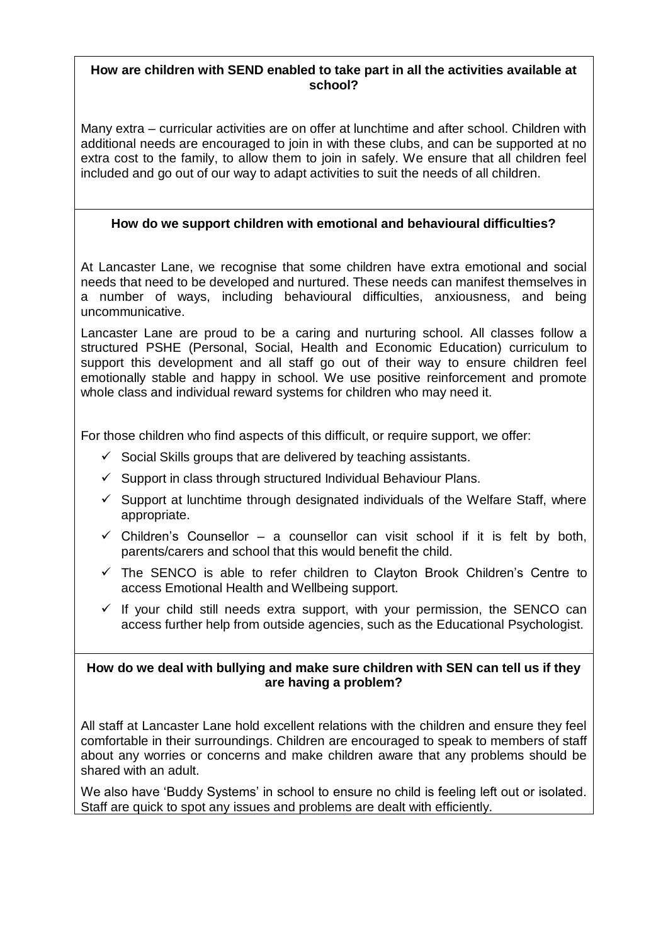### **How are children with SEND enabled to take part in all the activities available at school?**

Many extra – curricular activities are on offer at lunchtime and after school. Children with additional needs are encouraged to join in with these clubs, and can be supported at no extra cost to the family, to allow them to join in safely. We ensure that all children feel included and go out of our way to adapt activities to suit the needs of all children.

## **How do we support children with emotional and behavioural difficulties?**

At Lancaster Lane, we recognise that some children have extra emotional and social needs that need to be developed and nurtured. These needs can manifest themselves in a number of ways, including behavioural difficulties, anxiousness, and being uncommunicative.

Lancaster Lane are proud to be a caring and nurturing school. All classes follow a structured PSHE (Personal, Social, Health and Economic Education) curriculum to support this development and all staff go out of their way to ensure children feel emotionally stable and happy in school. We use positive reinforcement and promote whole class and individual reward systems for children who may need it.

For those children who find aspects of this difficult, or require support, we offer:

- $\checkmark$  Social Skills groups that are delivered by teaching assistants.
- $\checkmark$  Support in class through structured Individual Behaviour Plans.
- $\checkmark$  Support at lunchtime through designated individuals of the Welfare Staff, where appropriate.
- $\checkmark$  Children's Counsellor a counsellor can visit school if it is felt by both, parents/carers and school that this would benefit the child.
- $\checkmark$  The SENCO is able to refer children to Clayton Brook Children's Centre to access Emotional Health and Wellbeing support.
- $\checkmark$  If your child still needs extra support, with your permission, the SENCO can access further help from outside agencies, such as the Educational Psychologist.

#### **How do we deal with bullying and make sure children with SEN can tell us if they are having a problem?**

All staff at Lancaster Lane hold excellent relations with the children and ensure they feel comfortable in their surroundings. Children are encouraged to speak to members of staff about any worries or concerns and make children aware that any problems should be shared with an adult.

We also have 'Buddy Systems' in school to ensure no child is feeling left out or isolated. Staff are quick to spot any issues and problems are dealt with efficiently.